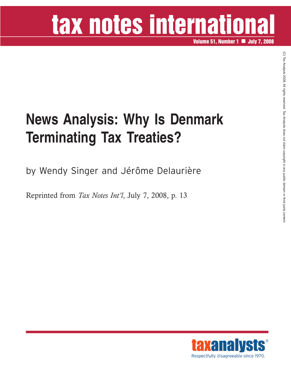# tax notes international

**Volume 51, Number 1 July 7, 2008**

### **News Analysis: Why Is Denmark Terminating Tax Treaties?**

by Wendy Singer and Jérôme Delaurière

Reprinted from *Tax Notes Int'l*, July 7, 2008, p. 13

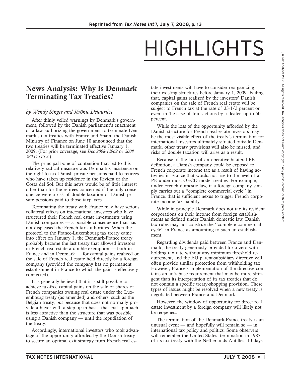## HIGHLIGHTS

### **News Analysis: Why Is Denmark Terminating Tax Treaties?**

#### *by Wendy Singer and Jérôme Delaurière*

After thinly veiled warnings by Denmark's government, followed by the Danish parliament's enactment of a law authorizing the government to terminate Denmark's tax treaties with France and Spain, the Danish Ministry of Finance on June 10 announced that the two treaties will be terminated effective January 1, 2009. (For prior coverage, see *Doc 2008-12962* or *2008 WTD 115-3.*)

The principal bone of contention that led to this relatively radical measure was Denmark's insistence on the right to tax Danish private pensions paid to retirees who have taken up residence in the Riviera or the Costa del Sol. But this news would be of little interest other than for the retirees concerned if the only consequence were a risk of double taxation of Danish private pensions paid to those taxpayers.

Terminating the treaty with France may have serious collateral effects on international investors who have structured their French real estate investments using Danish companies — a possible consequence that has not displeased the French tax authorities. When the protocol to the France-Luxembourg tax treaty came into effect on January 1, the Denmark-France treaty probably became the last treaty that allowed investors in French real estate a double exemption — both in France and in Denmark — for capital gains realized on the sale of French real estate held directly by a foreign company (provided the company has no permanent establishment in France to which the gain is effectively connected).

It is generally believed that it is still possible to achieve tax-free capital gains on the sale of shares of French companies owning real estate under the Luxembourg treaty (as amended) and others, such as the Belgian treaty, but because that does not normally provide a buyer with a step-up in basis, that exit approach is less attractive than the structure that was possible using a Danish company — until the repudiation of the treaty.

Accordingly, international investors who took advantage of the opportunity afforded by the Danish treaty to secure an optimal exit strategy from French real estate investments will have to consider reorganizing their existing structures before January 1, 2009. Failing that, capital gains realized by the investors' Danish companies on the sale of French real estate will be subject to French tax at the rate of 33-1/3 percent or even, in the case of transactions by a dealer, up to 50 percent.

While the loss of the opportunity afforded by the Danish structure for French real estate investors may be the most visible effect of the treaty's termination for international investors ultimately situated outside Denmark, other treaty provisions will also be missed, and risks of double taxation will arise as a result.

Because of the lack of an operative bilateral PE definition, a Danish company could be exposed to French corporate income tax as a result of having activities in France that would not rise to the level of a PE under most OECD model treaties. For example, under French domestic law, if a foreign company simply carries out a ''complete commercial cycle'' in France, that is sufficient nexus to trigger French corporate income tax liability.

While in principle Denmark does not tax its resident corporations on their income from foreign establishments as defined under Danish domestic law, Danish tax rules may not construe the ''complete commercial cycle'' in France as amounting to such an establishment.

Regarding dividends paid between France and Denmark, the treaty generously provided for a zero withholding tax rate without any minimum threshold requirement, and the EU parent-subsidiary directive will often provide similar protection from withholding tax. However, France's implementation of the directive contains an antiabuse requirement that may be more stringent than its interpretation of its tax treaties that do not contain a specific treaty-shopping provision. These types of issues might be resolved when a new treaty is negotiated between France and Denmark.

However, the window of opportunity for direct real estate investment by a foreign company will likely not be reopened.

The termination of the Denmark-France treaty is an unusual event — and hopefully will remain so — in international tax policy and politics. Some observers will remember the United States' termination in 1987 of its tax treaty with the Netherlands Antilles; 10 days

 $\widehat{\Omega}$